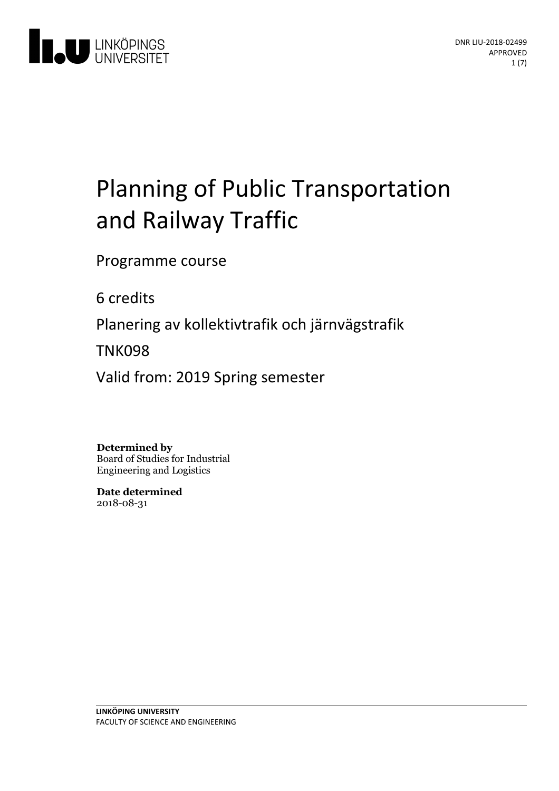

# Planning of Public Transportation and Railway Traffic

Programme course

6 credits

Planeringav kollektivtrafik och järnvägstrafik

TNK098

Valid from: 2019 Spring semester

**Determined by**

Board of Studies for Industrial Engineering and Logistics

**Date determined** 2018-08-31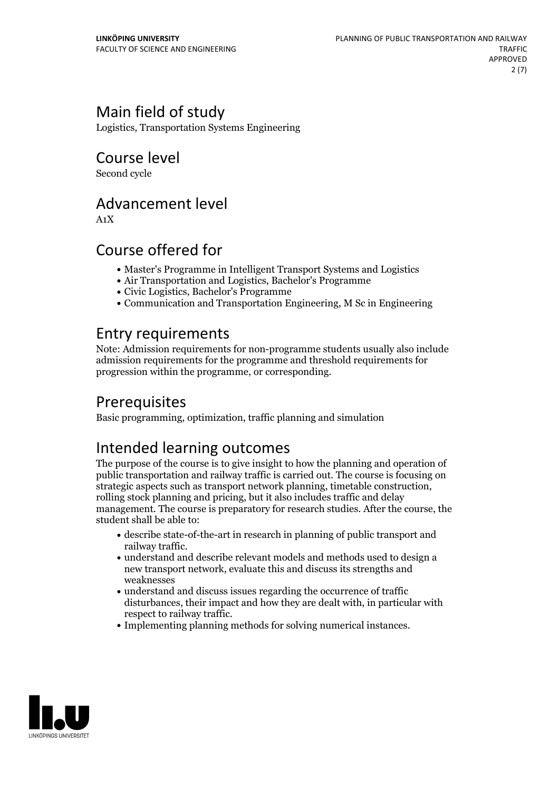# Main field of study

Logistics, Transportation Systems Engineering

Course level

Second cycle

### Advancement level

A1X

# Course offered for

- Master's Programme in Intelligent Transport Systems and Logistics
- Air Transportation and Logistics, Bachelor's Programme
- Civic Logistics, Bachelor's Programme
- Communication and Transportation Engineering, M Sc in Engineering

# Entry requirements

Note: Admission requirements for non-programme students usually also include admission requirements for the programme and threshold requirements for progression within the programme, or corresponding.

# Prerequisites

Basic programming, optimization, traffic planning and simulation

# Intended learning outcomes

The purpose of the course is to give insight to how the planning and operation of public transportation and railway traffic is carried out. The course is focusing on strategic aspects such as transport network planning, timetable construction, rolling stock planning and pricing, but it also includes traffic and delay management. The course is preparatory for research studies. After the course, the student shall be able to:

- describe state-of-the-art in research in planning of public transport and railway traffic.<br>• understand and describe relevant models and methods used to design a
- new transport network, evaluate this and discuss its strengths and weaknesses
- $\bullet$  understand and discuss issues regarding the occurrence of traffic disturbances, their impact and how they are dealt with, in particular with respect to railway traffic.<br>• Implementing planning methods for solving numerical instances.
- 

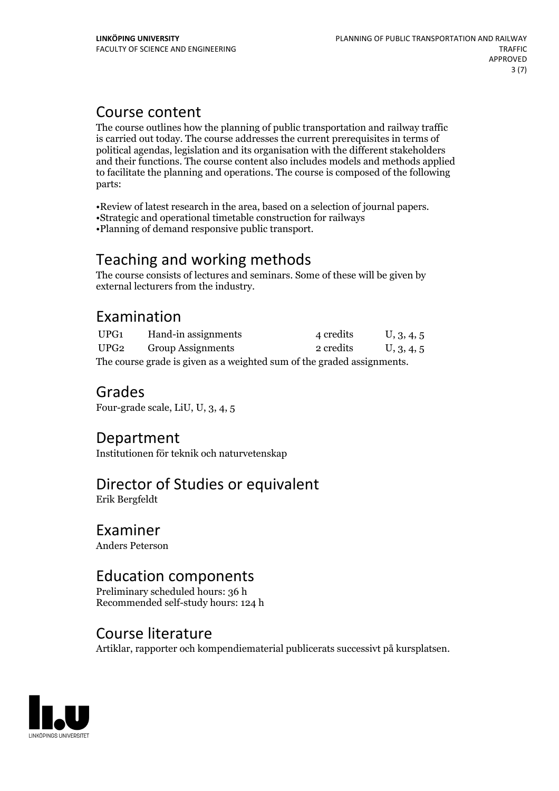# Course content

The course outlines how the planning of public transportation and railway traffic is carried out today. The course addresses the current prerequisites in terms of political agendas, legislation and its organisation with the different stakeholders and their functions. The course content also includes models and methods applied to facilitate the planning and operations. The course is composed of the following parts:

•Review of latest research in the area, based on <sup>a</sup> selection of journal papers. •Strategic and operational timetable construction for railways

•Planning of demand responsive public transport.

# Teaching and working methods

The course consists of lectures and seminars. Some of these will be given by external lecturers from the industry.

# Examination

| UPG1                                                                   | Hand-in assignments      | 4 credits | U, 3, 4, 5 |
|------------------------------------------------------------------------|--------------------------|-----------|------------|
| UPG2                                                                   | <b>Group Assignments</b> | 2 credits | U, 3, 4, 5 |
| The course grade is given as a weighted sum of the graded assignments. |                          |           |            |

### Grades

Four-grade scale, LiU, U, 3, 4, 5

### Department

Institutionen för teknik och naturvetenskap

# Director of Studies or equivalent

Erik Bergfeldt

### Examiner

Anders Peterson

### Education components

Preliminary scheduled hours: 36 h Recommended self-study hours: 124 h

### Course literature

Artiklar, rapporter och kompendiematerial publicerats successivt på kursplatsen.

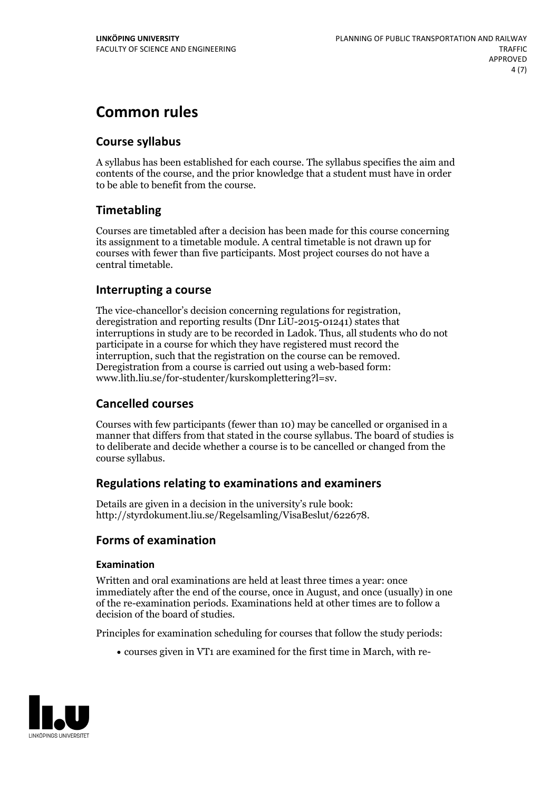# **Common rules**

### **Course syllabus**

A syllabus has been established for each course. The syllabus specifies the aim and contents of the course, and the prior knowledge that a student must have in order to be able to benefit from the course.

### **Timetabling**

Courses are timetabled after a decision has been made for this course concerning its assignment to a timetable module. A central timetable is not drawn up for courses with fewer than five participants. Most project courses do not have a central timetable.

### **Interrupting a course**

The vice-chancellor's decision concerning regulations for registration, deregistration and reporting results (Dnr LiU-2015-01241) states that interruptions in study are to be recorded in Ladok. Thus, all students who do not participate in a course for which they have registered must record the interruption, such that the registration on the course can be removed. Deregistration from <sup>a</sup> course is carried outusing <sup>a</sup> web-based form: www.lith.liu.se/for-studenter/kurskomplettering?l=sv.

### **Cancelled courses**

Courses with few participants (fewer than 10) may be cancelled or organised in a manner that differs from that stated in the course syllabus. The board of studies is to deliberate and decide whether a course is to be cancelled orchanged from the course syllabus.

### **Regulations relatingto examinations and examiners**

Details are given in a decision in the university's rule book: http://styrdokument.liu.se/Regelsamling/VisaBeslut/622678.

### **Forms of examination**

### **Examination**

Written and oral examinations are held at least three times a year: once immediately after the end of the course, once in August, and once (usually) in one of the re-examination periods. Examinations held at other times are to follow a decision of the board of studies.

Principles for examination scheduling for courses that follow the study periods:

courses given in VT1 are examined for the first time in March, with re-

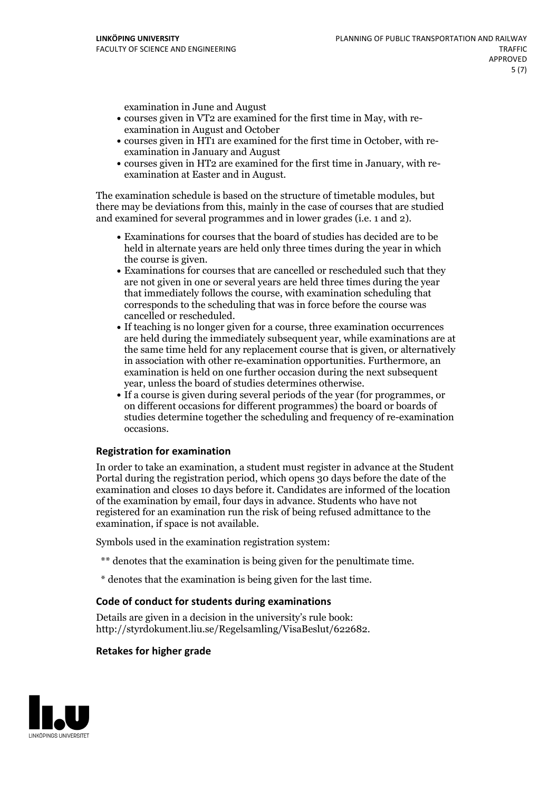examination in June and August

- courses given in VT2 are examined for the first time in May, with re-examination in August and October
- courses given in HT1 are examined for the first time in October, with re-examination in January and August
- courses given in HT2 are examined for the first time in January, with re-examination at Easter and in August.

The examination schedule is based on the structure of timetable modules, but there may be deviations from this, mainly in the case of courses that are studied and examined for several programmes and in lower grades (i.e. 1 and 2).

- Examinations for courses that the board of studies has decided are to be held in alternate years are held only three times during the year in which
- the course is given.<br>• Examinations for courses that are cancelled or rescheduled such that they are not given in one or several years are held three times during the year that immediately follows the course, with examination scheduling that corresponds to the scheduling that was in force before the course was cancelled or rescheduled.<br>• If teaching is no longer given for a course, three examination occurrences
- are held during the immediately subsequent year, while examinations are at the same time held for any replacement course that is given, or alternatively in association with other re-examination opportunities. Furthermore, an examination is held on one further occasion during the next subsequent year, unless the board of studies determines otherwise.<br>• If a course is given during several periods of the year (for programmes, or
- on different occasions for different programmes) the board orboards of studies determine together the scheduling and frequency of re-examination occasions.

### **Registration for examination**

In order to take an examination, a student must register in advance at the Student Portal during the registration period, which opens 30 days before the date of the examination and closes 10 days before it. Candidates are informed of the location of the examination by email, four days in advance. Students who have not registered for an examination run the risk of being refused admittance to the examination, if space is not available.

Symbols used in the examination registration system:

- \*\* denotes that the examination is being given for the penultimate time.
- \* denotes that the examination is being given for the last time.

#### **Code of conduct for students during examinations**

Details are given in a decision in the university's rule book: http://styrdokument.liu.se/Regelsamling/VisaBeslut/622682.

#### **Retakes for higher grade**

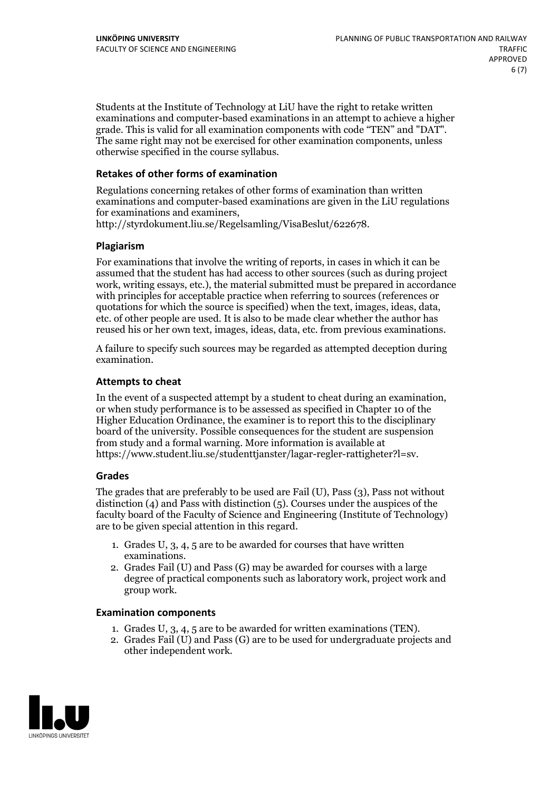Students at the Institute of Technology at LiU have the right to retake written examinations and computer-based examinations in an attempt to achieve a higher grade. This is valid for all examination components with code "TEN" and "DAT". The same right may not be exercised for other examination components, unless otherwise specified in the course syllabus.

#### **Retakes of other forms of examination**

Regulations concerning retakes of other forms of examination than written examinations and computer-based examinations are given in the LiU regulations for examinations and examiners, http://styrdokument.liu.se/Regelsamling/VisaBeslut/622678.

#### **Plagiarism**

For examinations that involve the writing of reports, in cases in which it can be assumed that the student has had access to other sources (such as during project work, writing essays, etc.), the material submitted must be prepared in accordance with principles for acceptable practice when referring to sources (references or quotations for which the source is specified) when the text, images, ideas, data, etc. of other people are used. It is also to be made clear whether the author has reused his or her own text, images, ideas, data, etc. from previous examinations.

A failure to specify such sources may be regarded as attempted deception during examination.

#### **Attempts to cheat**

In the event of <sup>a</sup> suspected attempt by <sup>a</sup> student to cheat during an examination, or when study performance is to be assessed as specified in Chapter <sup>10</sup> of the Higher Education Ordinance, the examiner is to report this to the disciplinary board of the university. Possible consequences for the student are suspension from study and a formal warning. More information is available at https://www.student.liu.se/studenttjanster/lagar-regler-rattigheter?l=sv.

#### **Grades**

The grades that are preferably to be used are Fail (U), Pass (3), Pass not without distinction  $(4)$  and Pass with distinction  $(5)$ . Courses under the auspices of the faculty board of the Faculty of Science and Engineering (Institute of Technology) are to be given special attention in this regard.

- 1. Grades U, 3, 4, 5 are to be awarded for courses that have written
- examinations. 2. Grades Fail (U) and Pass (G) may be awarded for courses with <sup>a</sup> large degree of practical components such as laboratory work, project work and group work.

#### **Examination components**

- 
- 1. Grades U, 3, 4, <sup>5</sup> are to be awarded for written examinations (TEN). 2. Grades Fail (U) and Pass (G) are to be used for undergraduate projects and other independent work.